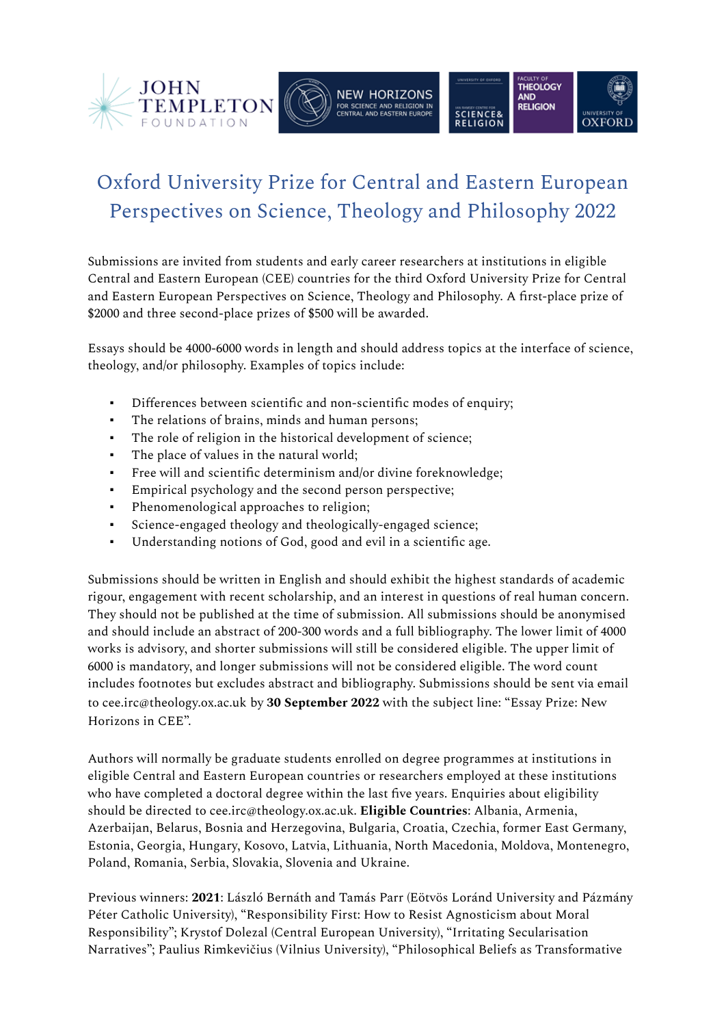

## Oxford University Prize for Central and Eastern European Perspectives on Science, Theology and Philosophy 2022

Submissions are invited from students and early career researchers at institutions in eligible Central and Eastern European (CEE) countries for the third Oxford University Prize for Central and Eastern European Perspectives on Science, Theology and Philosophy. A first-place prize of \$2000 and three second-place prizes of \$500 will be awarded.

Essays should be 4000-6000 words in length and should address topics at the interface of science, theology, and/or philosophy. Examples of topics include:

- Differences between scientific and non-scientific modes of enquiry;
- The relations of brains, minds and human persons;
- The role of religion in the historical development of science;
- The place of values in the natural world;
- Free will and scientific determinism and/or divine foreknowledge;
- Empirical psychology and the second person perspective;
- Phenomenological approaches to religion;
- Science-engaged theology and theologically-engaged science;
- Understanding notions of God, good and evil in a scientific age.

Submissions should be written in English and should exhibit the highest standards of academic rigour, engagement with recent scholarship, and an interest in questions of real human concern. They should not be published at the time of submission. All submissions should be anonymised and should include an abstract of 200-300 words and a full bibliography. The lower limit of 4000 works is advisory, and shorter submissions will still be considered eligible. The upper limit of 6000 is mandatory, and longer submissions will not be considered eligible. The word count includes footnotes but excludes abstract and bibliography. Submissions should be sent via email to cee.irc@theology.ox.ac.uk by **30 September 2022** with the subject line: "Essay Prize: New Horizons in CEE".

Authors will normally be graduate students enrolled on degree programmes at institutions in eligible Central and Eastern European countries or researchers employed at these institutions who have completed a doctoral degree within the last five years. Enquiries about eligibility should be directed to cee.irc@theology.ox.ac.uk. **Eligible Countries**: Albania, Armenia, Azerbaijan, Belarus, Bosnia and Herzegovina, Bulgaria, Croatia, Czechia, former East Germany, Estonia, Georgia, Hungary, Kosovo, Latvia, Lithuania, North Macedonia, Moldova, Montenegro, Poland, Romania, Serbia, Slovakia, Slovenia and Ukraine.

Previous winners: **2021**: László Bernáth and Tamás Parr (Eötvös Loránd University and Pázmány Péter Catholic University), "Responsibility First: How to Resist Agnosticism about Moral Responsibility"; Krystof Dolezal (Central European University), "Irritating Secularisation Narratives"; Paulius Rimkevičius (Vilnius University), "Philosophical Beliefs as Transformative